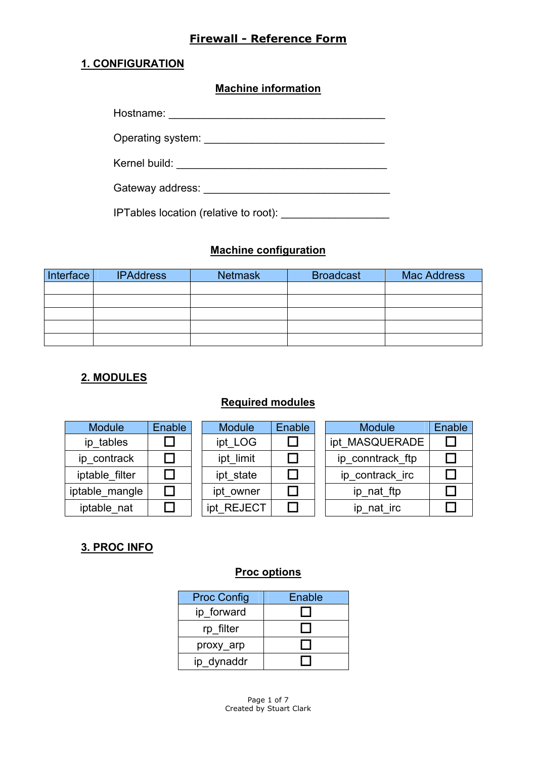#### **1. CONFIGURATION**

**Machine information**

| Hostname: |  |
|-----------|--|
|-----------|--|

Operating system:  $\blacksquare$ 

Kernel build: \_\_\_\_\_\_\_\_\_\_\_\_\_\_\_\_\_\_\_\_\_\_\_\_\_\_\_\_\_\_\_\_\_\_\_

Gateway address: \_\_\_\_\_\_\_\_\_\_\_\_\_\_\_\_\_\_\_\_\_\_\_\_\_\_\_\_\_\_\_

IPTables location (relative to root):

#### **Machine configuration**

| Interface | <b>IPAddress</b> | <b>Netmask</b> | <b>Broadcast</b> | <b>Mac Address</b> |
|-----------|------------------|----------------|------------------|--------------------|
|           |                  |                |                  |                    |
|           |                  |                |                  |                    |
|           |                  |                |                  |                    |
|           |                  |                |                  |                    |
|           |                  |                |                  |                    |

### **2. MODULES**

## **Required modules**

| <b>Module</b>  | Enable | <b>Module</b> | Enable | <b>Module</b>    | Enable |
|----------------|--------|---------------|--------|------------------|--------|
| ip tables      |        | ipt LOG       |        | ipt_MASQUERADE   |        |
| ip contrack    |        | ipt limit     |        | ip conntrack ftp |        |
| iptable filter |        | ipt state     |        | ip_contrack_irc  |        |
| iptable mangle |        | ipt_owner     |        | ip_nat_ftp       |        |
| iptable nat    |        | ipt REJECT    |        | ip_nat_irc       |        |
|                |        |               |        |                  |        |

## **3. PROC INFO**

#### **Proc options**

| <b>Proc Config</b> | Enable |
|--------------------|--------|
| ip forward         |        |
| rp filter          |        |
| proxy_arp          |        |
| ip dynaddr         |        |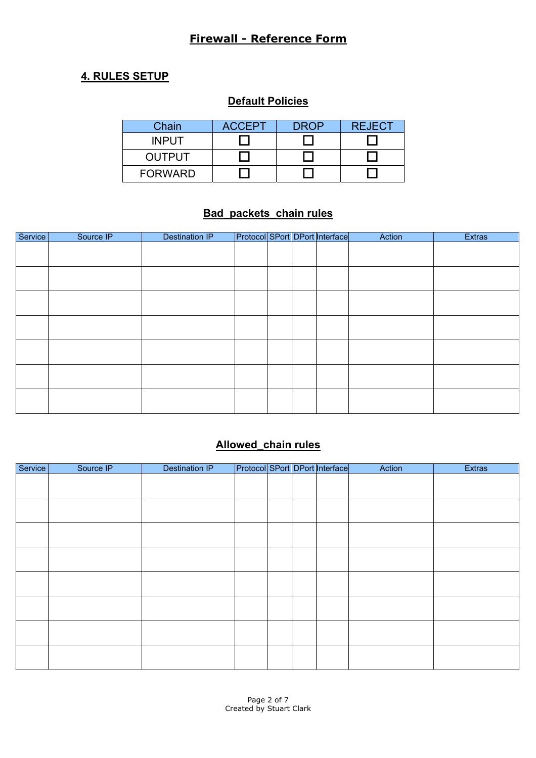### **4. RULES SETUP**

### **Default Policies**

| Chain          | <b>ACCEPT</b> | <b>DROP</b> | <b>REJECT</b> |
|----------------|---------------|-------------|---------------|
| <b>INPUT</b>   |               |             |               |
| <b>OUTPUT</b>  |               |             |               |
| <b>FORWARD</b> |               |             |               |

#### **Bad\_packets\_chain rules**

| Service | Source IP | <b>Destination IP</b> |  | Protocol SPort DPort Interface | Action | <b>Extras</b> |
|---------|-----------|-----------------------|--|--------------------------------|--------|---------------|
|         |           |                       |  |                                |        |               |
|         |           |                       |  |                                |        |               |
|         |           |                       |  |                                |        |               |
|         |           |                       |  |                                |        |               |
|         |           |                       |  |                                |        |               |
|         |           |                       |  |                                |        |               |
|         |           |                       |  |                                |        |               |
|         |           |                       |  |                                |        |               |
|         |           |                       |  |                                |        |               |
|         |           |                       |  |                                |        |               |
|         |           |                       |  |                                |        |               |
|         |           |                       |  |                                |        |               |
|         |           |                       |  |                                |        |               |
|         |           |                       |  |                                |        |               |

# **Allowed\_chain rules**

| Service | Source IP | <b>Destination IP</b> |  | Protocol SPort DPort Interface | Action | <b>Extras</b> |
|---------|-----------|-----------------------|--|--------------------------------|--------|---------------|
|         |           |                       |  |                                |        |               |
|         |           |                       |  |                                |        |               |
|         |           |                       |  |                                |        |               |
|         |           |                       |  |                                |        |               |
|         |           |                       |  |                                |        |               |
|         |           |                       |  |                                |        |               |
|         |           |                       |  |                                |        |               |
|         |           |                       |  |                                |        |               |
|         |           |                       |  |                                |        |               |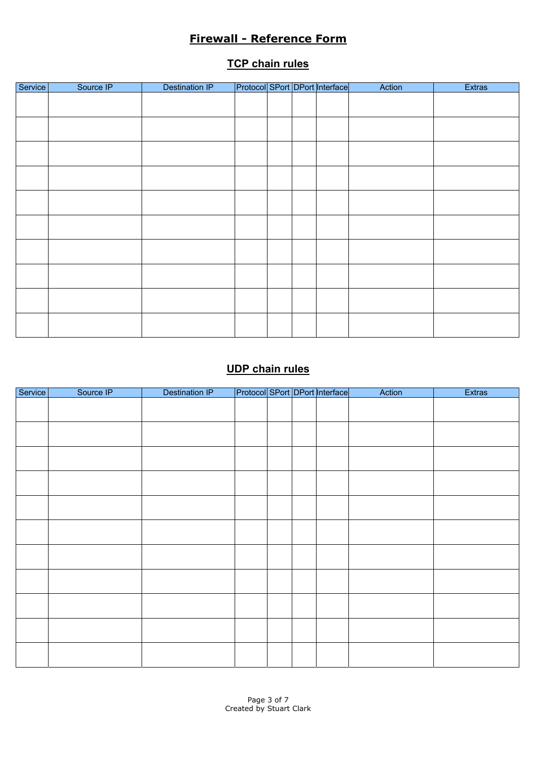#### **TCP chain rules**

| Service | Source IP | <b>Destination IP</b> |  | Protocol SPort DPort Interface | Action | Extras |
|---------|-----------|-----------------------|--|--------------------------------|--------|--------|
|         |           |                       |  |                                |        |        |
|         |           |                       |  |                                |        |        |
|         |           |                       |  |                                |        |        |
|         |           |                       |  |                                |        |        |
|         |           |                       |  |                                |        |        |
|         |           |                       |  |                                |        |        |
|         |           |                       |  |                                |        |        |
|         |           |                       |  |                                |        |        |
|         |           |                       |  |                                |        |        |
|         |           |                       |  |                                |        |        |
|         |           |                       |  |                                |        |        |
|         |           |                       |  |                                |        |        |
|         |           |                       |  |                                |        |        |
|         |           |                       |  |                                |        |        |
|         |           |                       |  |                                |        |        |
|         |           |                       |  |                                |        |        |
|         |           |                       |  |                                |        |        |
|         |           |                       |  |                                |        |        |

# **UDP chain rules**

| Service | Source IP | <b>Destination IP</b> |  | Protocol SPort DPort Interface | Action | <b>Extras</b> |
|---------|-----------|-----------------------|--|--------------------------------|--------|---------------|
|         |           |                       |  |                                |        |               |
|         |           |                       |  |                                |        |               |
|         |           |                       |  |                                |        |               |
|         |           |                       |  |                                |        |               |
|         |           |                       |  |                                |        |               |
|         |           |                       |  |                                |        |               |
|         |           |                       |  |                                |        |               |
|         |           |                       |  |                                |        |               |
|         |           |                       |  |                                |        |               |
|         |           |                       |  |                                |        |               |
|         |           |                       |  |                                |        |               |
|         |           |                       |  |                                |        |               |
|         |           |                       |  |                                |        |               |
|         |           |                       |  |                                |        |               |
|         |           |                       |  |                                |        |               |
|         |           |                       |  |                                |        |               |
|         |           |                       |  |                                |        |               |
|         |           |                       |  |                                |        |               |
|         |           |                       |  |                                |        |               |
|         |           |                       |  |                                |        |               |
|         |           |                       |  |                                |        |               |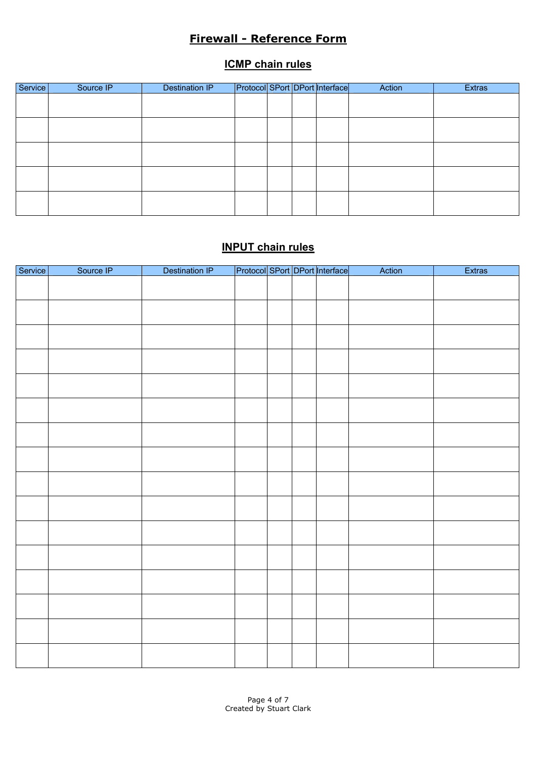#### **ICMP chain rules**

| Service | Source IP | Destination IP |  | Protocol SPort DPort Interface | Action | <b>Extras</b> |
|---------|-----------|----------------|--|--------------------------------|--------|---------------|
|         |           |                |  |                                |        |               |
|         |           |                |  |                                |        |               |
|         |           |                |  |                                |        |               |
|         |           |                |  |                                |        |               |
|         |           |                |  |                                |        |               |
|         |           |                |  |                                |        |               |
|         |           |                |  |                                |        |               |
|         |           |                |  |                                |        |               |
|         |           |                |  |                                |        |               |
|         |           |                |  |                                |        |               |

# **INPUT chain rules**

| Service | Source IP | Destination IP |  | Protocol SPort DPort Interface | Action | <b>Extras</b> |
|---------|-----------|----------------|--|--------------------------------|--------|---------------|
|         |           |                |  |                                |        |               |
|         |           |                |  |                                |        |               |
|         |           |                |  |                                |        |               |
|         |           |                |  |                                |        |               |
|         |           |                |  |                                |        |               |
|         |           |                |  |                                |        |               |
|         |           |                |  |                                |        |               |
|         |           |                |  |                                |        |               |
|         |           |                |  |                                |        |               |
|         |           |                |  |                                |        |               |
|         |           |                |  |                                |        |               |
|         |           |                |  |                                |        |               |
|         |           |                |  |                                |        |               |
|         |           |                |  |                                |        |               |
|         |           |                |  |                                |        |               |
|         |           |                |  |                                |        |               |
|         |           |                |  |                                |        |               |
|         |           |                |  |                                |        |               |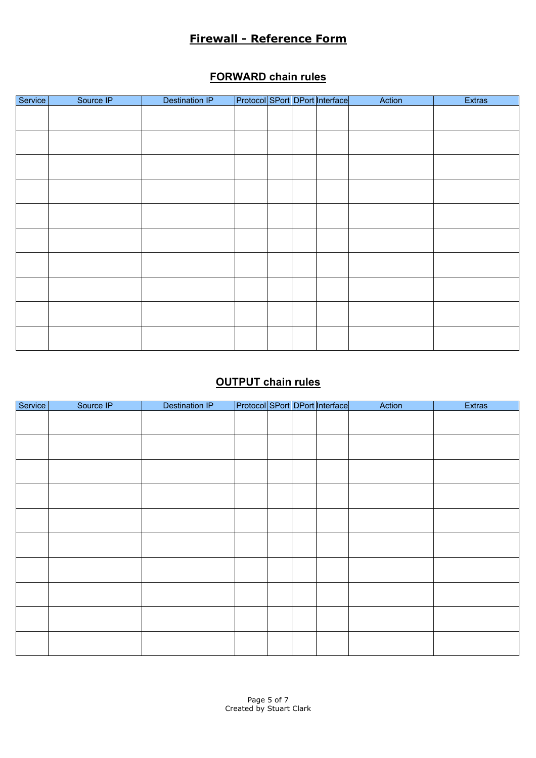## **FORWARD chain rules**

| Service | Source IP | <b>Destination IP</b> |  | Protocol SPort DPort Interface | Action | <b>Extras</b> |
|---------|-----------|-----------------------|--|--------------------------------|--------|---------------|
|         |           |                       |  |                                |        |               |
|         |           |                       |  |                                |        |               |
|         |           |                       |  |                                |        |               |
|         |           |                       |  |                                |        |               |
|         |           |                       |  |                                |        |               |
|         |           |                       |  |                                |        |               |
|         |           |                       |  |                                |        |               |
|         |           |                       |  |                                |        |               |
|         |           |                       |  |                                |        |               |
|         |           |                       |  |                                |        |               |
|         |           |                       |  |                                |        |               |
|         |           |                       |  |                                |        |               |
|         |           |                       |  |                                |        |               |
|         |           |                       |  |                                |        |               |
|         |           |                       |  |                                |        |               |
|         |           |                       |  |                                |        |               |
|         |           |                       |  |                                |        |               |
|         |           |                       |  |                                |        |               |
|         |           |                       |  |                                |        |               |
|         |           |                       |  |                                |        |               |

# **OUTPUT chain rules**

| Service | Source IP | <b>Destination IP</b> |  | Protocol SPort DPort Interface | Action | <b>Extras</b> |
|---------|-----------|-----------------------|--|--------------------------------|--------|---------------|
|         |           |                       |  |                                |        |               |
|         |           |                       |  |                                |        |               |
|         |           |                       |  |                                |        |               |
|         |           |                       |  |                                |        |               |
|         |           |                       |  |                                |        |               |
|         |           |                       |  |                                |        |               |
|         |           |                       |  |                                |        |               |
|         |           |                       |  |                                |        |               |
|         |           |                       |  |                                |        |               |
|         |           |                       |  |                                |        |               |
|         |           |                       |  |                                |        |               |
|         |           |                       |  |                                |        |               |
|         |           |                       |  |                                |        |               |
|         |           |                       |  |                                |        |               |
|         |           |                       |  |                                |        |               |
|         |           |                       |  |                                |        |               |
|         |           |                       |  |                                |        |               |
|         |           |                       |  |                                |        |               |
|         |           |                       |  |                                |        |               |
|         |           |                       |  |                                |        |               |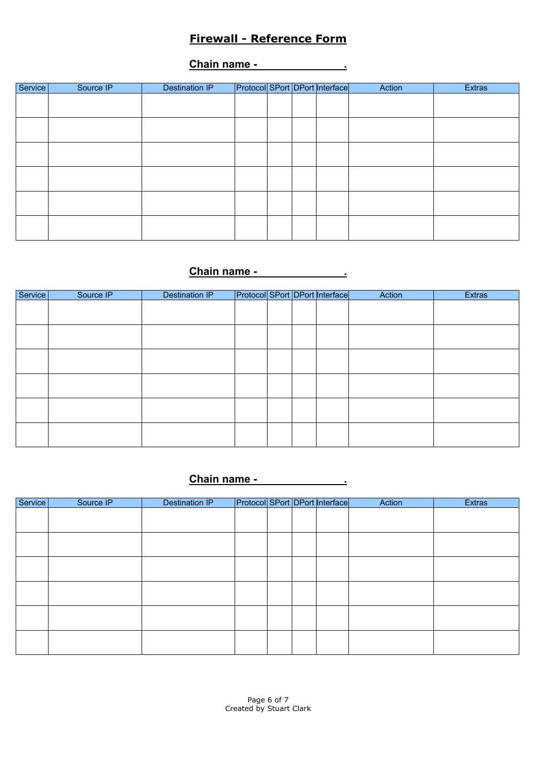**Chain name - .**

| Service | Source IP | <b>Destination IP</b> |  | Protocol SPort DPort Interface | Action | <b>Extras</b> |
|---------|-----------|-----------------------|--|--------------------------------|--------|---------------|
|         |           |                       |  |                                |        |               |
|         |           |                       |  |                                |        |               |
|         |           |                       |  |                                |        |               |
|         |           |                       |  |                                |        |               |
|         |           |                       |  |                                |        |               |
|         |           |                       |  |                                |        |               |
|         |           |                       |  |                                |        |               |
|         |           |                       |  |                                |        |               |
|         |           |                       |  |                                |        |               |
|         |           |                       |  |                                |        |               |
|         |           |                       |  |                                |        |               |
|         |           |                       |  |                                |        |               |

## **Chain name - .**

| Service | Source IP | <b>Destination IP</b> |  | Protocol SPort DPort Interface | Action | <b>Extras</b> |
|---------|-----------|-----------------------|--|--------------------------------|--------|---------------|
|         |           |                       |  |                                |        |               |
|         |           |                       |  |                                |        |               |
|         |           |                       |  |                                |        |               |
|         |           |                       |  |                                |        |               |
|         |           |                       |  |                                |        |               |
|         |           |                       |  |                                |        |               |
|         |           |                       |  |                                |        |               |
|         |           |                       |  |                                |        |               |
|         |           |                       |  |                                |        |               |
|         |           |                       |  |                                |        |               |
|         |           |                       |  |                                |        |               |
|         |           |                       |  |                                |        |               |

# **Chain name - .**

| Service | Source IP | <b>Destination IP</b> |  | Protocol SPort DPort Interface | Action | <b>Extras</b> |
|---------|-----------|-----------------------|--|--------------------------------|--------|---------------|
|         |           |                       |  |                                |        |               |
|         |           |                       |  |                                |        |               |
|         |           |                       |  |                                |        |               |
|         |           |                       |  |                                |        |               |
|         |           |                       |  |                                |        |               |
|         |           |                       |  |                                |        |               |
|         |           |                       |  |                                |        |               |
|         |           |                       |  |                                |        |               |
|         |           |                       |  |                                |        |               |
|         |           |                       |  |                                |        |               |
|         |           |                       |  |                                |        |               |
|         |           |                       |  |                                |        |               |